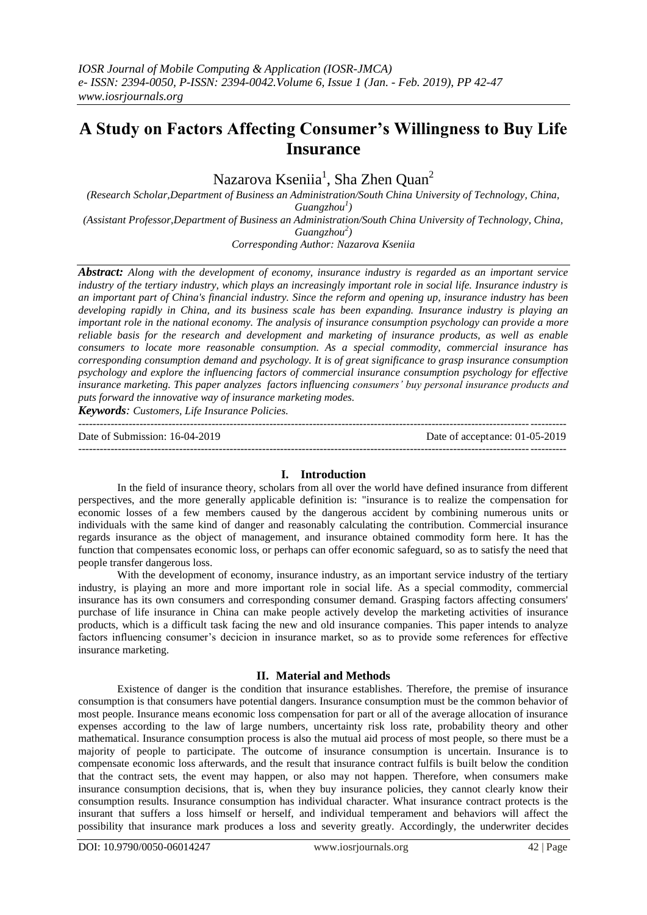# **A Study on Factors Affecting Consumer's Willingness to Buy Life Insurance**

Nazarova Kseniia<sup>1</sup>, Sha Zhen Quan<sup>2</sup>

*(Research Scholar,Department of Business an Administration/South China University of Technology, China, Guangzhou<sup>1</sup> ) (Assistant Professor,Department of Business an Administration/South China University of Technology, China, Guangzhou<sup>2</sup> )*

*Corresponding Author: Nazarova Kseniia*

*Abstract: Along with the development of economy, insurance industry is regarded as an important service industry of the tertiary industry, which plays an increasingly important role in social life. Insurance industry is an important part of China's financial industry. Since the reform and opening up, insurance industry has been developing rapidly in China, and its business scale has been expanding. Insurance industry is playing an important role in the national economy. The analysis of insurance consumption psychology can provide a more reliable basis for the research and development and marketing of insurance products, as well as enable consumers to locate more reasonable consumption. As a special commodity, commercial insurance has corresponding consumption demand and psychology. It is of great significance to grasp insurance consumption psychology and explore the influencing factors of commercial insurance consumption psychology for effective insurance marketing. This paper analyzes factors influencing consumers' buy personal insurance products and puts forward the innovative way of insurance marketing modes.* 

*Keywords: Customers, Life Insurance Policies.* ---------------------------------------------------------------------------------------------------------------------------------------

Date of Submission: 16-04-2019 Date of acceptance: 01-05-2019 ---------------------------------------------------------------------------------------------------------------------------------------

# **I. Introduction**

In the field of insurance theory, scholars from all over the world have defined insurance from different perspectives, and the more generally applicable definition is: "insurance is to realize the compensation for economic losses of a few members caused by the dangerous accident by combining numerous units or individuals with the same kind of danger and reasonably calculating the contribution. Commercial insurance regards insurance as the object of management, and insurance obtained commodity form here. It has the function that compensates economic loss, or perhaps can offer economic safeguard, so as to satisfy the need that people transfer dangerous loss.

With the development of economy, insurance industry, as an important service industry of the tertiary industry, is playing an more and more important role in social life. As a special commodity, commercial insurance has its own consumers and corresponding consumer demand. Grasping factors affecting consumers' purchase of life insurance in China can make people actively develop the marketing activities of insurance products, which is a difficult task facing the new and old insurance companies. This paper intends to analyze factors influencing consumer's decicion in insurance market, so as to provide some references for effective insurance marketing.

# **II. Material and Methods**

Existence of danger is the condition that insurance establishes. Therefore, the premise of insurance consumption is that consumers have potential dangers. Insurance consumption must be the common behavior of most people. Insurance means economic loss compensation for part or all of the average allocation of insurance expenses according to the law of large numbers, uncertainty risk loss rate, probability theory and other mathematical. Insurance consumption process is also the mutual aid process of most people, so there must be a majority of people to participate. The outcome of insurance consumption is uncertain. Insurance is to compensate economic loss afterwards, and the result that insurance contract fulfils is built below the condition that the contract sets, the event may happen, or also may not happen. Therefore, when consumers make insurance consumption decisions, that is, when they buy insurance policies, they cannot clearly know their consumption results. Insurance consumption has individual character. What insurance contract protects is the insurant that suffers a loss himself or herself, and individual temperament and behaviors will affect the possibility that insurance mark produces a loss and severity greatly. Accordingly, the underwriter decides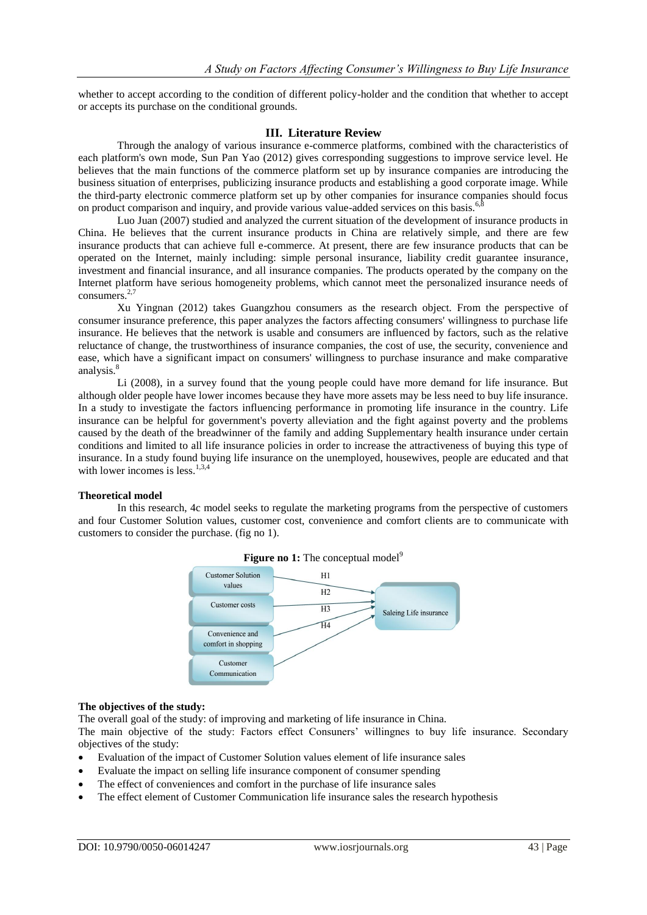whether to accept according to the condition of different policy-holder and the condition that whether to accept or accepts its purchase on the conditional grounds.

# **III. Literature Review**

Through the analogy of various insurance e-commerce platforms, combined with the characteristics of each platform's own mode, Sun Pan Yao (2012) gives corresponding suggestions to improve service level. He believes that the main functions of the commerce platform set up by insurance companies are introducing the business situation of enterprises, publicizing insurance products and establishing a good corporate image. While the third-party electronic commerce platform set up by other companies for insurance companies should focus on product comparison and inquiry, and provide various value-added services on this basis.<sup>6,8</sup>

Luo Juan (2007) studied and analyzed the current situation of the development of insurance products in China. He believes that the current insurance products in China are relatively simple, and there are few insurance products that can achieve full e-commerce. At present, there are few insurance products that can be operated on the Internet, mainly including: simple personal insurance, liability credit guarantee insurance, investment and financial insurance, and all insurance companies. The products operated by the company on the Internet platform have serious homogeneity problems, which cannot meet the personalized insurance needs of consumers. $2,7$ 

Xu Yingnan (2012) takes Guangzhou consumers as the research object. From the perspective of consumer insurance preference, this paper analyzes the factors affecting consumers' willingness to purchase life insurance. He believes that the network is usable and consumers are influenced by factors, such as the relative reluctance of change, the trustworthiness of insurance companies, the cost of use, the security, convenience and ease, which have a significant impact on consumers' willingness to purchase insurance and make comparative analysis.<sup>8</sup>

Li (2008), in a survey found that the young people could have more demand for life insurance. But although older people have lower incomes because they have more assets may be less need to buy life insurance. In a study to investigate the factors influencing performance in promoting life insurance in the country. Life insurance can be helpful for government's poverty alleviation and the fight against poverty and the problems caused by the death of the breadwinner of the family and adding Supplementary health insurance under certain conditions and limited to all life insurance policies in order to increase the attractiveness of buying this type of insurance. In a study found buying life insurance on the unemployed, housewives, people are educated and that with lower incomes is less.<sup>1,3,4</sup>

# **Theoretical model**

In this research, 4c model seeks to regulate the marketing programs from the perspective of customers and four Customer Solution values, customer cost, convenience and comfort clients are to communicate with customers to consider the purchase. (fig no 1).



# **Figure no 1:** The conceptual model<sup>9</sup>

# **The objectives of the study:**

The overall goal of the study: of improving and marketing of life insurance in China.

The main objective of the study: Factors effect Consuners' willingnes to buy life insurance. Secondary objectives of the study:

- Evaluation of the impact of Customer Solution values element of life insurance sales
- Evaluate the impact on selling life insurance component of consumer spending
- The effect of conveniences and comfort in the purchase of life insurance sales
- The effect element of Customer Communication life insurance sales the research hypothesis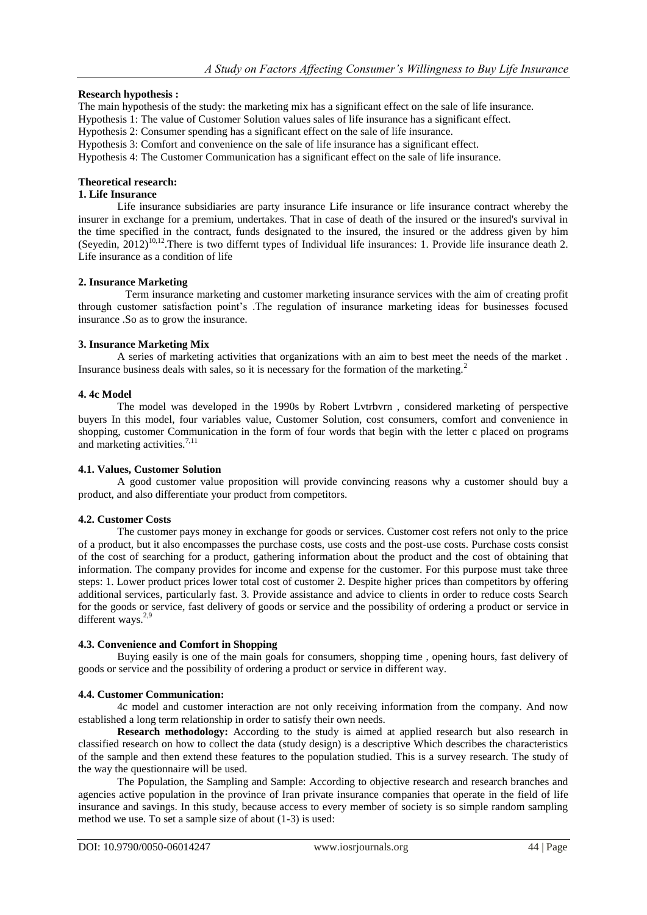# **Research hypothesis :**

The main hypothesis of the study: the marketing mix has a significant effect on the sale of life insurance.

Hypothesis 1: The value of Customer Solution values sales of life insurance has a significant effect.

Hypothesis 2: Consumer spending has a significant effect on the sale of life insurance.

Hypothesis 3: Comfort and convenience on the sale of life insurance has a significant effect.

Hypothesis 4: The Customer Communication has a significant effect on the sale of life insurance.

# **Theoretical research:**

## **1. Life Insurance**

Life insurance subsidiaries are party insurance Life insurance or life insurance contract whereby the insurer in exchange for a premium, undertakes. That in case of death of the insured or the insured's survival in the time specified in the contract, funds designated to the insured, the insured or the address given by him (Seyedin,  $2012$ )<sup>10,12</sup>. There is two differnt types of Individual life insurances: 1. Provide life insurance death 2. Life insurance as a condition of life

# **2. Insurance Marketing**

 Term insurance marketing and customer marketing insurance services with the aim of creating profit through customer satisfaction point's .The regulation of insurance marketing ideas for businesses focused insurance .So as to grow the insurance.

# **3. Insurance Marketing Mix**

A series of marketing activities that organizations with an aim to best meet the needs of the market . Insurance business deals with sales, so it is necessary for the formation of the marketing.<sup>2</sup>

### **4. 4c Model**

The model was developed in the 1990s by Robert Lvtrbvrn , considered marketing of perspective buyers In this model, four variables value, Customer Solution, cost consumers, comfort and convenience in shopping, customer Communication in the form of four words that begin with the letter c placed on programs and marketing activities. $7,11$ 

# **4.1. Values, Customer Solution**

A good customer value proposition will provide convincing reasons why a customer should buy a product, and also differentiate your product from competitors.

# **4.2. Customer Costs**

The customer pays money in exchange for goods or services. Customer cost refers not only to the price of a product, but it also encompasses the purchase costs, use costs and the post-use costs. Purchase costs consist of the cost of searching for a product, gathering information about the product and the cost of obtaining that information. The company provides for income and expense for the customer. For this purpose must take three steps: 1. Lower product prices lower total cost of customer 2. Despite higher prices than competitors by offering additional services, particularly fast. 3. Provide assistance and advice to clients in order to reduce costs Search for the goods or service, fast delivery of goods or service and the possibility of ordering a product or service in different ways. $2,9$ 

# **4.3. Convenience and Comfort in Shopping**

Buying easily is one of the main goals for consumers, shopping time , opening hours, fast delivery of goods or service and the possibility of ordering a product or service in different way.

# **4.4. Customer Communication:**

4c model and customer interaction are not only receiving information from the company. And now established a long term relationship in order to satisfy their own needs.

**Research methodology:** According to the study is aimed at applied research but also research in classified research on how to collect the data (study design) is a descriptive Which describes the characteristics of the sample and then extend these features to the population studied. This is a survey research. The study of the way the questionnaire will be used.

The Population, the Sampling and Sample: According to objective research and research branches and agencies active population in the province of Iran private insurance companies that operate in the field of life insurance and savings. In this study, because access to every member of society is so simple random sampling method we use. To set a sample size of about (1-3) is used: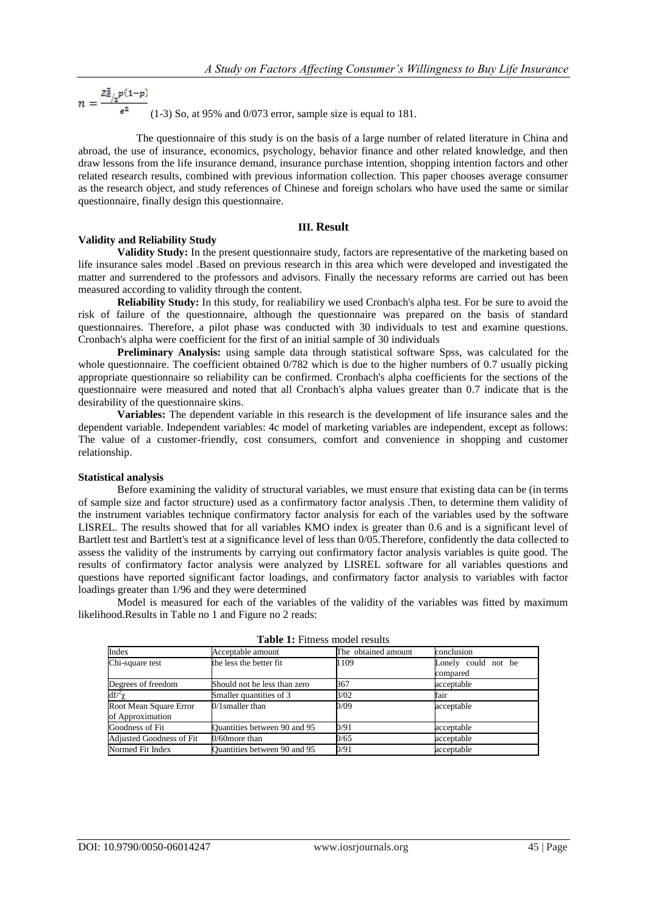$$
n = \frac{z_{\alpha/2}^2 p(1-p)}{e^2}
$$
 (1-3) So, at 95% and 0/073 error, sample size is equal to 181.

 The questionnaire of this study is on the basis of a large number of related literature in China and abroad, the use of insurance, economics, psychology, behavior finance and other related knowledge, and then draw lessons from the life insurance demand, insurance purchase intention, shopping intention factors and other related research results, combined with previous information collection. This paper chooses average consumer as the research object, and study references of Chinese and foreign scholars who have used the same or similar questionnaire, finally design this questionnaire.

# **III. Result**

# **Validity and Reliability Study**

**Validity Study:** In the present questionnaire study, factors are representative of the marketing based on life insurance sales model .Based on previous research in this area which were developed and investigated the matter and surrendered to the professors and advisors. Finally the necessary reforms are carried out has been measured according to validity through the content.

**Reliability Study:** In this study, for realiabiliry we used Cronbach's alpha test. For be sure to avoid the risk of failure of the questionnaire, although the questionnaire was prepared on the basis of standard questionnaires. Therefore, a pilot phase was conducted with 30 individuals to test and examine questions. Cronbach's alpha were coefficient for the first of an initial sample of 30 individuals

**Preliminary Analysis:** using sample data through statistical software Spss, was calculated for the whole questionnaire. The coefficient obtained 0/782 which is due to the higher numbers of 0.7 usually picking appropriate questionnaire so reliability can be confirmed. Cronbach's alpha coefficients for the sections of the questionnaire were measured and noted that all Cronbach's alpha values greater than 0.7 indicate that is the desirability of the questionnaire skins.

**Variables:** The dependent variable in this research is the development of life insurance sales and the dependent variable. Independent variables: 4c model of marketing variables are independent, except as follows: The value of a customer-friendly, cost consumers, comfort and convenience in shopping and customer relationship.

# **Statistical analysis**

Before examining the validity of structural variables, we must ensure that existing data can be (in terms of sample size and factor structure) used as a confirmatory factor analysis .Then, to determine them validity of the instrument variables technique confirmatory factor analysis for each of the variables used by the software LISREL. The results showed that for all variables KMO index is greater than 0.6 and is a significant level of Bartlett test and Bartlett's test at a significance level of less than 0/05.Therefore, confidently the data collected to assess the validity of the instruments by carrying out confirmatory factor analysis variables is quite good. The results of confirmatory factor analysis were analyzed by LISREL software for all variables questions and questions have reported significant factor loadings, and confirmatory factor analysis to variables with factor loadings greater than 1/96 and they were determined

Model is measured for each of the variables of the validity of the variables was fitted by maximum likelihood.Results in Table no 1 and Figure no 2 reads:

| Index                                      | Acceptable amount            | The obtained amount | conclusion                      |  |
|--------------------------------------------|------------------------------|---------------------|---------------------------------|--|
| Chi-square test                            | the less the better fit      | 1109                | Lonely could not be<br>compared |  |
| Degrees of freedom                         | Should not be less than zero | 367                 | acceptable                      |  |
| $df/2\gamma$                               | Smaller quantities of 3      | 3/02                | fair                            |  |
| Root Mean Square Error<br>of Approximation | $0/1$ smaller than           | 0/09                | acceptable                      |  |
| Goodness of Fit                            | Quantities between 90 and 95 | 0/91                | acceptable                      |  |
| <b>Adjusted Goodness of Fit</b>            | $0/60$ more than             | 0/65                | acceptable                      |  |
| Normed Fit Index                           | Quantities between 90 and 95 | 0/91                | acceptable                      |  |

**Table 1:** Fitness model results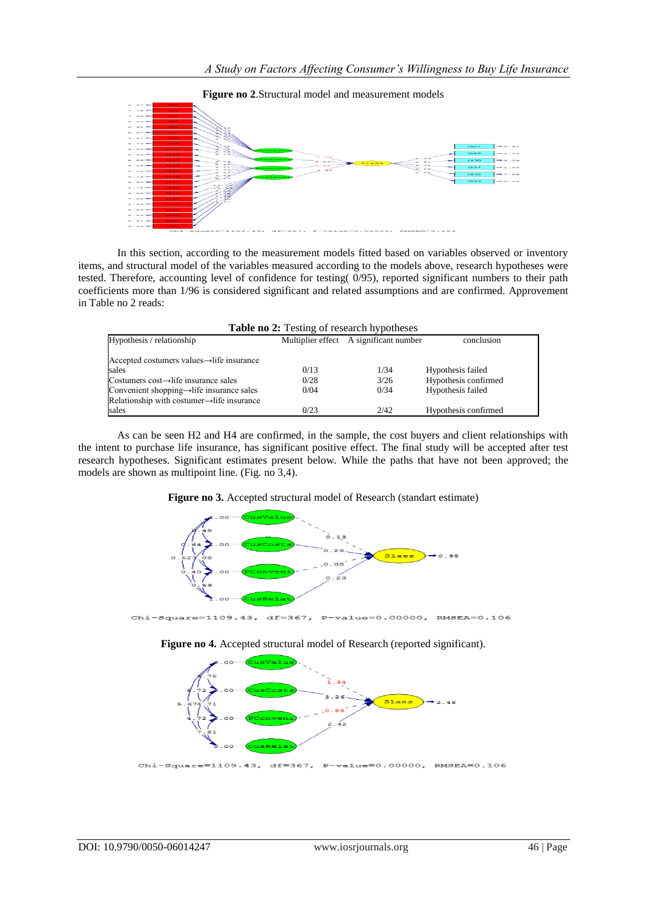

**Figure no 2**.Structural model and measurement models

In this section, according to the measurement models fitted based on variables observed or inventory items, and structural model of the variables measured according to the models above, research hypotheses were tested. Therefore, accounting level of confidence for testing( 0/95), reported significant numbers to their path coefficients more than 1/96 is considered significant and related assumptions and are confirmed. Approvement in Table no 2 reads:

| <b>Table no 2:</b> Testing of research hypotheses       |      |                                        |                      |  |  |  |
|---------------------------------------------------------|------|----------------------------------------|----------------------|--|--|--|
| Hypothesis / relationship                               |      | Multiplier effect A significant number | conclusion           |  |  |  |
| Accepted costumers values→life insurance                |      |                                        |                      |  |  |  |
| sales                                                   | 0/13 | 1/34                                   | Hypothesis failed    |  |  |  |
| Costumers cost $\rightarrow$ life insurance sales       | 0/28 | 3/26                                   | Hypothesis confirmed |  |  |  |
| Convenient shopping $\rightarrow$ life insurance sales  | 0/04 | 0/34                                   | Hypothesis failed    |  |  |  |
| Relationship with costumer $\rightarrow$ life insurance |      |                                        |                      |  |  |  |
| sales                                                   | 0/23 | 2/42                                   | Hypothesis confirmed |  |  |  |

As can be seen H2 and H4 are confirmed, in the sample, the cost buyers and client relationships with the intent to purchase life insurance, has significant positive effect. The final study will be accepted after test research hypotheses. Significant estimates present below. While the paths that have not been approved; the models are shown as multipoint line. (Fig. no 3,4).



**Figure no 3.** Accepted structural model of Research (standart estimate)

**Figure no 4.** Accepted structural model of Research (reported significant).